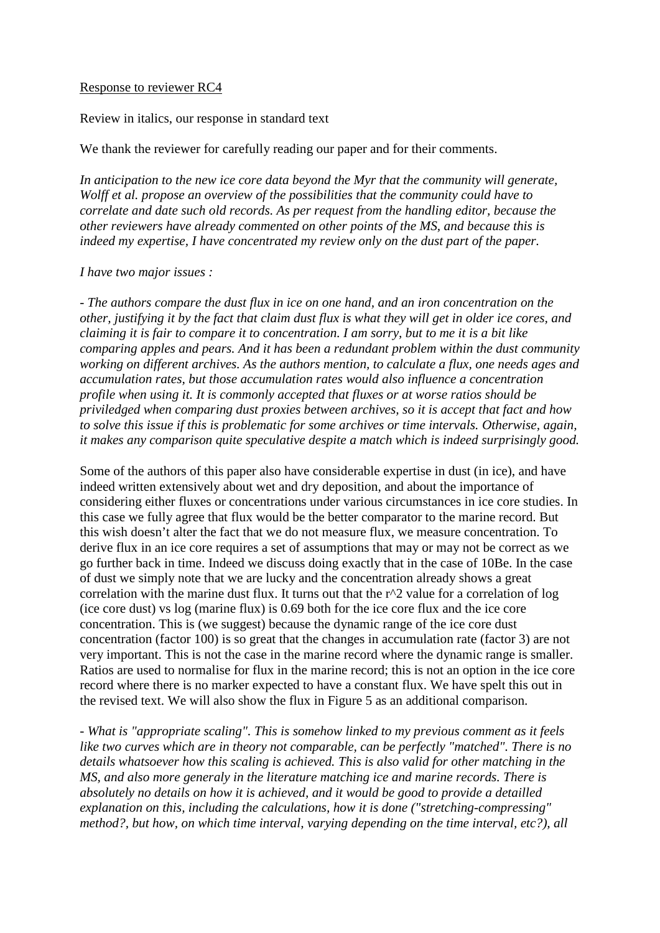## Response to reviewer RC4

Review in italics, our response in standard text

We thank the reviewer for carefully reading our paper and for their comments.

*In anticipation to the new ice core data beyond the Myr that the community will generate, Wolff et al. propose an overview of the possibilities that the community could have to correlate and date such old records. As per request from the handling editor, because the other reviewers have already commented on other points of the MS, and because this is indeed my expertise, I have concentrated my review only on the dust part of the paper.*

## *I have two major issues :*

*- The authors compare the dust flux in ice on one hand, and an iron concentration on the other, justifying it by the fact that claim dust flux is what they will get in older ice cores, and claiming it is fair to compare it to concentration. I am sorry, but to me it is a bit like comparing apples and pears. And it has been a redundant problem within the dust community working on different archives. As the authors mention, to calculate a flux, one needs ages and accumulation rates, but those accumulation rates would also influence a concentration profile when using it. It is commonly accepted that fluxes or at worse ratios should be priviledged when comparing dust proxies between archives, so it is accept that fact and how to solve this issue if this is problematic for some archives or time intervals. Otherwise, again, it makes any comparison quite speculative despite a match which is indeed surprisingly good.*

Some of the authors of this paper also have considerable expertise in dust (in ice), and have indeed written extensively about wet and dry deposition, and about the importance of considering either fluxes or concentrations under various circumstances in ice core studies. In this case we fully agree that flux would be the better comparator to the marine record. But this wish doesn't alter the fact that we do not measure flux, we measure concentration. To derive flux in an ice core requires a set of assumptions that may or may not be correct as we go further back in time. Indeed we discuss doing exactly that in the case of 10Be. In the case of dust we simply note that we are lucky and the concentration already shows a great correlation with the marine dust flux. It turns out that the r^2 value for a correlation of log (ice core dust) vs log (marine flux) is 0.69 both for the ice core flux and the ice core concentration. This is (we suggest) because the dynamic range of the ice core dust concentration (factor 100) is so great that the changes in accumulation rate (factor 3) are not very important. This is not the case in the marine record where the dynamic range is smaller. Ratios are used to normalise for flux in the marine record; this is not an option in the ice core record where there is no marker expected to have a constant flux. We have spelt this out in the revised text. We will also show the flux in Figure 5 as an additional comparison.

*- What is "appropriate scaling". This is somehow linked to my previous comment as it feels like two curves which are in theory not comparable, can be perfectly "matched". There is no details whatsoever how this scaling is achieved. This is also valid for other matching in the MS, and also more generaly in the literature matching ice and marine records. There is absolutely no details on how it is achieved, and it would be good to provide a detailled explanation on this, including the calculations, how it is done ("stretching-compressing" method?, but how, on which time interval, varying depending on the time interval, etc?), all*